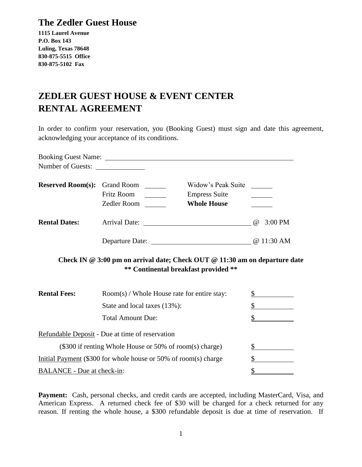## **The Zedler Guest House**

**1115 Laurel Avenue P.O. Box 143 Luling, Texas 78648 830-875-5515 Office 830-875-5102 Fax**

## **ZEDLER GUEST HOUSE & EVENT CENTER RENTAL AGREEMENT**

In order to confirm your reservation, you (Booking Guest) must sign and date this agreement, acknowledging your acceptance of its conditions.

| Number of Guests:                                               |                                               |  |                                                                                                                    |                       |
|-----------------------------------------------------------------|-----------------------------------------------|--|--------------------------------------------------------------------------------------------------------------------|-----------------------|
| <b>Reserved Room(s):</b> Grand Room _______                     | <b>Fritz Room</b><br>Zedler Room _______      |  | Widow's Peak Suite<br><b>Empress Suite</b><br><b>Whole House</b>                                                   |                       |
| <b>Rental Dates:</b>                                            |                                               |  |                                                                                                                    | $3:00$ PM<br>$\omega$ |
|                                                                 |                                               |  |                                                                                                                    | @ 11:30 AM            |
|                                                                 |                                               |  | Check IN @ 3:00 pm on arrival date; Check OUT @ 11:30 am on departure date<br>** Continental breakfast provided ** |                       |
| <b>Rental Fees:</b>                                             | $Room(s)$ / Whole House rate for entire stay: |  |                                                                                                                    | \$                    |
|                                                                 | State and local taxes (13%):                  |  |                                                                                                                    | $\mathbb{S}$          |
|                                                                 | <b>Total Amount Due:</b>                      |  |                                                                                                                    |                       |
| Refundable Deposit - Due at time of reservation                 |                                               |  |                                                                                                                    |                       |
| (\$300 if renting Whole House or 50% of room(s) charge)         |                                               |  |                                                                                                                    | \$                    |
| Initial Payment (\$300 for whole house or 50% of room(s) charge |                                               |  |                                                                                                                    |                       |
| BALANCE - Due at check-in:                                      |                                               |  |                                                                                                                    | $\frac{1}{2}$         |

Payment: Cash, personal checks, and credit cards are accepted, including MasterCard, Visa, and American Express. A returned check fee of \$30 will be charged for a check returned for any reason. If renting the whole house, a \$300 refundable deposit is due at time of reservation. If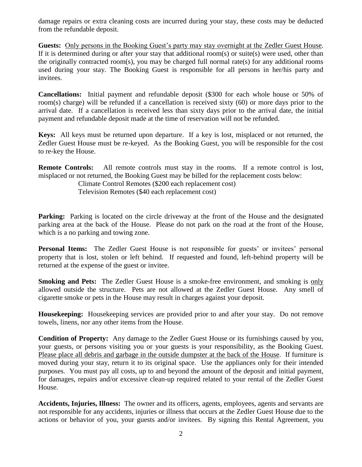damage repairs or extra cleaning costs are incurred during your stay, these costs may be deducted from the refundable deposit.

**Guests:** Only persons in the Booking Guest's party may stay overnight at the Zedler Guest House. If it is determined during or after your stay that additional room(s) or suite(s) were used, other than the originally contracted room(s), you may be charged full normal rate(s) for any additional rooms used during your stay. The Booking Guest is responsible for all persons in her/his party and invitees.

**Cancellations:** Initial payment and refundable deposit (\$300 for each whole house or 50% of room(s) charge) will be refunded if a cancellation is received sixty (60) or more days prior to the arrival date. If a cancellation is received less than sixty days prior to the arrival date, the initial payment and refundable deposit made at the time of reservation will not be refunded.

**Keys:** All keys must be returned upon departure. If a key is lost, misplaced or not returned, the Zedler Guest House must be re-keyed. As the Booking Guest, you will be responsible for the cost to re-key the House.

**Remote Controls:** All remote controls must stay in the rooms. If a remote control is lost, misplaced or not returned, the Booking Guest may be billed for the replacement costs below:

Climate Control Remotes (\$200 each replacement cost)

Television Remotes (\$40 each replacement cost)

**Parking:** Parking is located on the circle driveway at the front of the House and the designated parking area at the back of the House. Please do not park on the road at the front of the House, which is a no parking and towing zone.

**Personal Items:** The Zedler Guest House is not responsible for guests' or invitees' personal property that is lost, stolen or left behind. If requested and found, left-behind property will be returned at the expense of the guest or invitee.

**Smoking and Pets:** The Zedler Guest House is a smoke-free environment, and smoking is only allowed outside the structure. Pets are not allowed at the Zedler Guest House. Any smell of cigarette smoke or pets in the House may result in charges against your deposit.

**Housekeeping:** Housekeeping services are provided prior to and after your stay. Do not remove towels, linens, nor any other items from the House.

**Condition of Property:** Any damage to the Zedler Guest House or its furnishings caused by you, your guests, or persons visiting you or your guests is your responsibility, as the Booking Guest. Please place all debris and garbage in the outside dumpster at the back of the House. If furniture is moved during your stay, return it to its original space. Use the appliances only for their intended purposes. You must pay all costs, up to and beyond the amount of the deposit and initial payment, for damages, repairs and/or excessive clean-up required related to your rental of the Zedler Guest House.

**Accidents, Injuries, Illness:** The owner and its officers, agents, employees, agents and servants are not responsible for any accidents, injuries or illness that occurs at the Zedler Guest House due to the actions or behavior of you, your guests and/or invitees. By signing this Rental Agreement, you